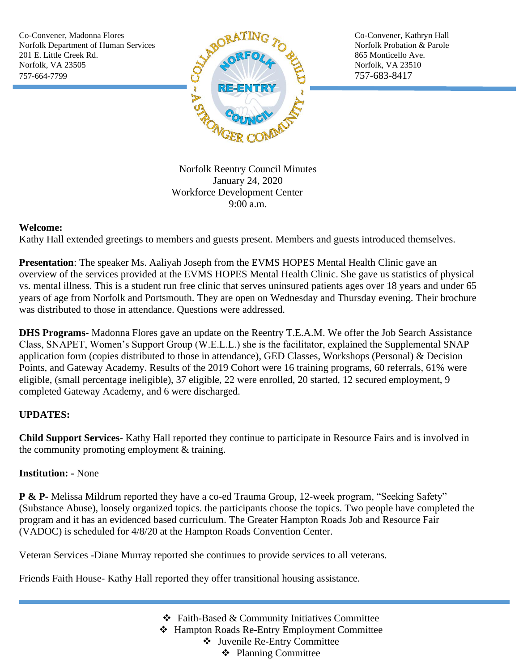Co-Convener, Madonna Flores Co-Convener, Kathryn Hall 201 E. Little Creek Rd. 865 Monticello Ave. Norfolk, VA 23505  $\sim$  Norfolk, VA 23510 757-664-7799 757-683-8417



Norfolk Reentry Council Minutes January 24, 2020 Workforce Development Center 9:00 a.m.

## **Welcome:**

Kathy Hall extended greetings to members and guests present. Members and guests introduced themselves.

**Presentation**: The speaker Ms. Aaliyah Joseph from the EVMS HOPES Mental Health Clinic gave an overview of the services provided at the EVMS HOPES Mental Health Clinic. She gave us statistics of physical vs. mental illness. This is a student run free clinic that serves uninsured patients ages over 18 years and under 65 years of age from Norfolk and Portsmouth. They are open on Wednesday and Thursday evening. Their brochure was distributed to those in attendance. Questions were addressed.

**DHS Programs**- Madonna Flores gave an update on the Reentry T.E.A.M. We offer the Job Search Assistance Class, SNAPET, Women's Support Group (W.E.L.L.) she is the facilitator, explained the Supplemental SNAP application form (copies distributed to those in attendance), GED Classes, Workshops (Personal) & Decision Points, and Gateway Academy. Results of the 2019 Cohort were 16 training programs, 60 referrals, 61% were eligible, (small percentage ineligible), 37 eligible, 22 were enrolled, 20 started, 12 secured employment, 9 completed Gateway Academy, and 6 were discharged.

## **UPDATES:**

**Child Support Services**- Kathy Hall reported they continue to participate in Resource Fairs and is involved in the community promoting employment & training.

## **Institution: -** None

**P & P-** Melissa Mildrum reported they have a co-ed Trauma Group, 12-week program, "Seeking Safety" (Substance Abuse), loosely organized topics. the participants choose the topics. Two people have completed the program and it has an evidenced based curriculum. The Greater Hampton Roads Job and Resource Fair (VADOC) is scheduled for 4/8/20 at the Hampton Roads Convention Center.

Veteran Services -Diane Murray reported she continues to provide services to all veterans.

Friends Faith House- Kathy Hall reported they offer transitional housing assistance.

❖ Faith-Based & Community Initiatives Committee ❖ Hampton Roads Re-Entry Employment Committee ❖ Juvenile Re-Entry Committee

❖ Planning Committee